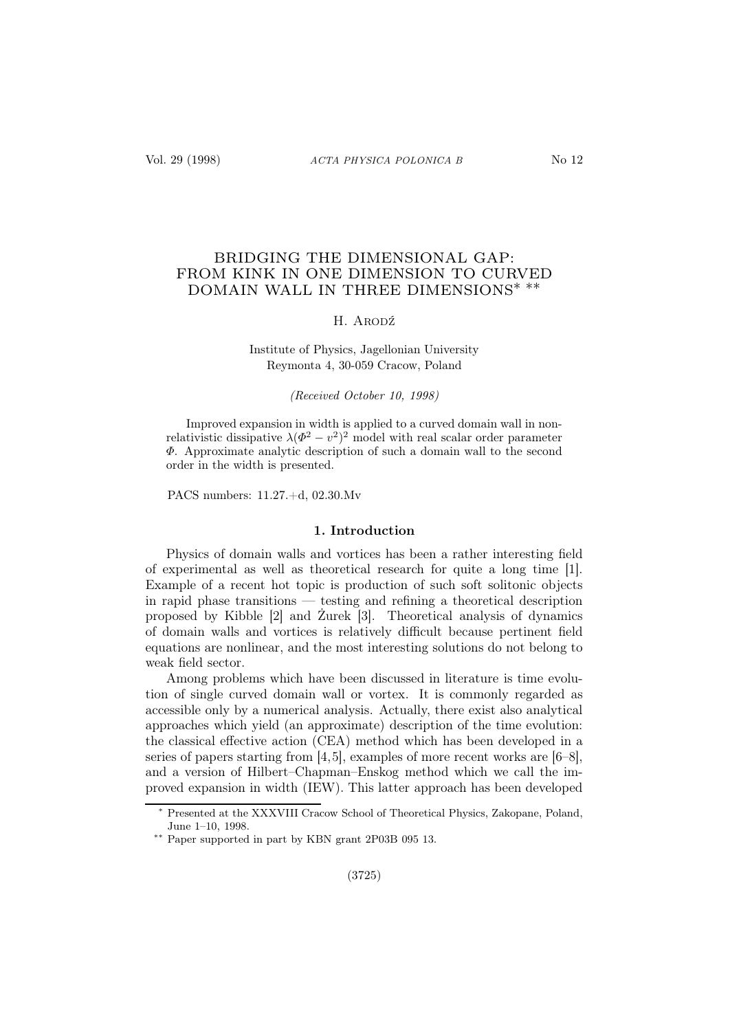# BRIDGING THE DIMENSIONAL GAP: FROM KINK IN ONE DIMENSION TO CURVED DOMAIN WALL IN THREE DIMENSIONS∗ ∗∗

## H. ARODŹ

# Institute of Physics, Jagellonian University Reymonta 4, 30-059 Cracow, Poland

(Received October 10, 1998)

Improved expansion in width is applied to a curved domain wall in nonrelativistic dissipative  $\lambda(\Phi^2 - v^2)^2$  model with real scalar order parameter Φ. Approximate analytic description of such a domain wall to the second order in the width is presented.

PACS numbers: 11.27.+d, 02.30.Mv

# 1. Introduction

Physics of domain walls and vortices has been a rather interesting field of experimental as well as theoretical research for quite a long time [1]. Example of a recent hot topic is production of such soft solitonic objects in rapid phase transitions — testing and refining a theoretical description proposed by Kibble [2] and Żurek [3]. Theoretical analysis of dynamics of domain walls and vortices is relatively difficult because pertinent field equations are nonlinear, and the most interesting solutions do not belong to weak field sector.

Among problems which have been discussed in literature is time evolution of single curved domain wall or vortex. It is commonly regarded as accessible only by a numerical analysis. Actually, there exist also analytical approaches which yield (an approximate) description of the time evolution: the classical effective action (CEA) method which has been developed in a series of papers starting from [4,5], examples of more recent works are [6–8], and a version of Hilbert–Chapman–Enskog method which we call the improved expansion in width (IEW). This latter approach has been developed

<sup>∗</sup> Presented at the XXXVIII Cracow School of Theoretical Physics, Zakopane, Poland, June 1–10, 1998.

<sup>∗∗</sup> Paper supported in part by KBN grant 2P03B 095 13.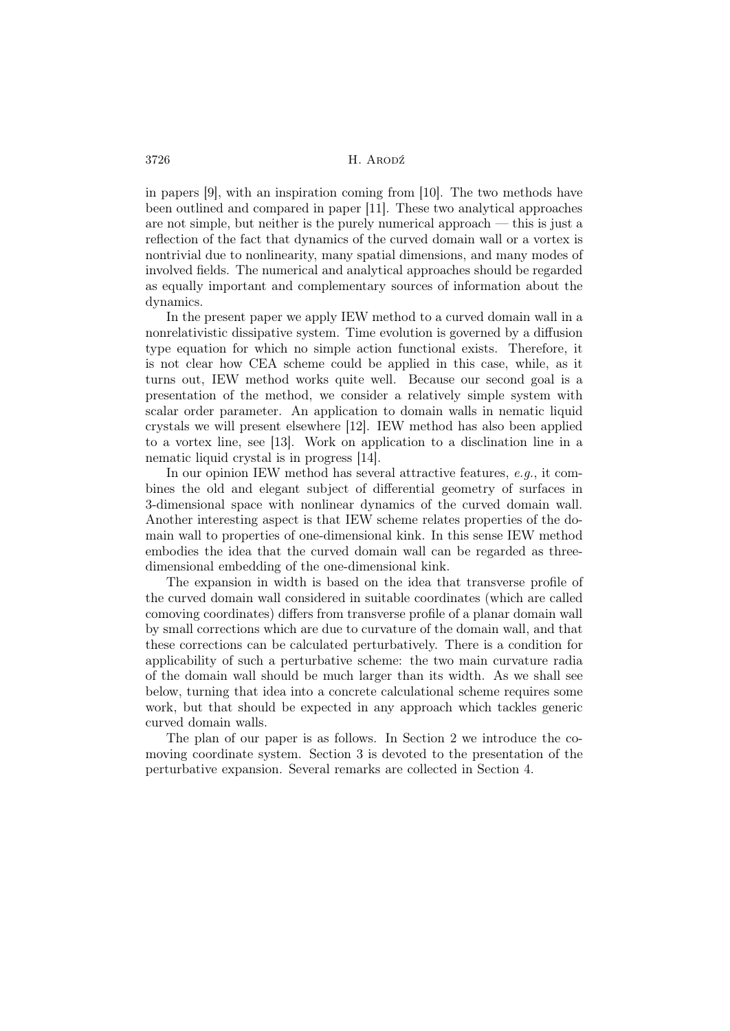in papers [9], with an inspiration coming from [10]. The two methods have been outlined and compared in paper [11]. These two analytical approaches are not simple, but neither is the purely numerical approach — this is just a reflection of the fact that dynamics of the curved domain wall or a vortex is nontrivial due to nonlinearity, many spatial dimensions, and many modes of involved fields. The numerical and analytical approaches should be regarded as equally important and complementary sources of information about the dynamics.

In the present paper we apply IEW method to a curved domain wall in a nonrelativistic dissipative system. Time evolution is governed by a diffusion type equation for which no simple action functional exists. Therefore, it is not clear how CEA scheme could be applied in this case, while, as it turns out, IEW method works quite well. Because our second goal is a presentation of the method, we consider a relatively simple system with scalar order parameter. An application to domain walls in nematic liquid crystals we will present elsewhere [12]. IEW method has also been applied to a vortex line, see [13]. Work on application to a disclination line in a nematic liquid crystal is in progress [14].

In our opinion IEW method has several attractive features, e.g., it combines the old and elegant subject of differential geometry of surfaces in 3-dimensional space with nonlinear dynamics of the curved domain wall. Another interesting aspect is that IEW scheme relates properties of the domain wall to properties of one-dimensional kink. In this sense IEW method embodies the idea that the curved domain wall can be regarded as threedimensional embedding of the one-dimensional kink.

The expansion in width is based on the idea that transverse profile of the curved domain wall considered in suitable coordinates (which are called comoving coordinates) differs from transverse profile of a planar domain wall by small corrections which are due to curvature of the domain wall, and that these corrections can be calculated perturbatively. There is a condition for applicability of such a perturbative scheme: the two main curvature radia of the domain wall should be much larger than its width. As we shall see below, turning that idea into a concrete calculational scheme requires some work, but that should be expected in any approach which tackles generic curved domain walls.

The plan of our paper is as follows. In Section 2 we introduce the comoving coordinate system. Section 3 is devoted to the presentation of the perturbative expansion. Several remarks are collected in Section 4.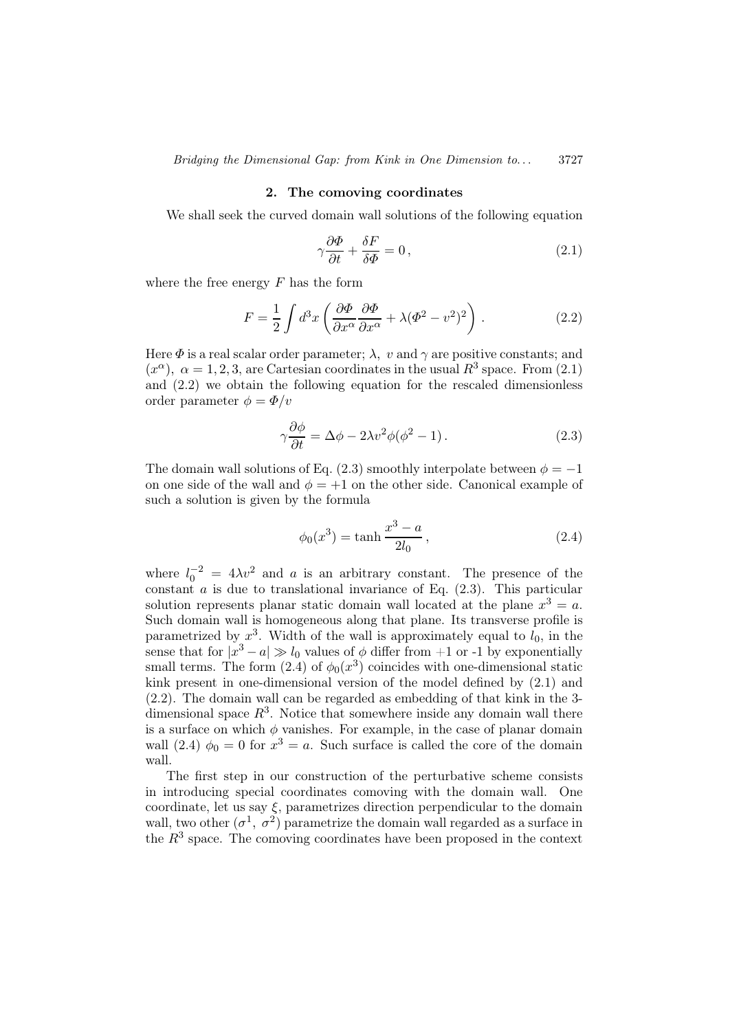#### 2. The comoving coordinates

We shall seek the curved domain wall solutions of the following equation

$$
\gamma \frac{\partial \Phi}{\partial t} + \frac{\delta F}{\delta \Phi} = 0, \qquad (2.1)
$$

where the free energy  $F$  has the form

$$
F = \frac{1}{2} \int d^3x \left( \frac{\partial \Phi}{\partial x^{\alpha}} \frac{\partial \Phi}{\partial x^{\alpha}} + \lambda (\Phi^2 - v^2)^2 \right) . \tag{2.2}
$$

Here  $\Phi$  is a real scalar order parameter;  $\lambda$ , v and  $\gamma$  are positive constants; and  $(x^{\alpha})$ ,  $\alpha = 1, 2, 3$ , are Cartesian coordinates in the usual  $R^3$  space. From (2.1) and (2.2) we obtain the following equation for the rescaled dimensionless order parameter  $\phi = \Phi/v$ 

$$
\gamma \frac{\partial \phi}{\partial t} = \Delta \phi - 2\lambda v^2 \phi (\phi^2 - 1). \tag{2.3}
$$

The domain wall solutions of Eq. (2.3) smoothly interpolate between  $\phi = -1$ on one side of the wall and  $\phi = +1$  on the other side. Canonical example of such a solution is given by the formula

$$
\phi_0(x^3) = \tanh\frac{x^3 - a}{2l_0},\tag{2.4}
$$

where  $l_0^{-2} = 4\lambda v^2$  and a is an arbitrary constant. The presence of the constant  $\alpha$  is due to translational invariance of Eq. (2.3). This particular solution represents planar static domain wall located at the plane  $x^3 = a$ . Such domain wall is homogeneous along that plane. Its transverse profile is parametrized by  $x^3$ . Width of the wall is approximately equal to  $l_0$ , in the sense that for  $|x^3 - a| \gg l_0$  values of  $\phi$  differ from +1 or -1 by exponentially small terms. The form  $(2.4)$  of  $\phi_0(x^3)$  coincides with one-dimensional static kink present in one-dimensional version of the model defined by (2.1) and (2.2). The domain wall can be regarded as embedding of that kink in the 3 dimensional space  $R^3$ . Notice that somewhere inside any domain wall there is a surface on which  $\phi$  vanishes. For example, in the case of planar domain wall (2.4)  $\phi_0 = 0$  for  $x^3 = a$ . Such surface is called the core of the domain wall.

The first step in our construction of the perturbative scheme consists in introducing special coordinates comoving with the domain wall. One coordinate, let us say  $\xi$ , parametrizes direction perpendicular to the domain wall, two other  $(\sigma^1, \sigma^2)$  parametrize the domain wall regarded as a surface in the  $R^3$  space. The comoving coordinates have been proposed in the context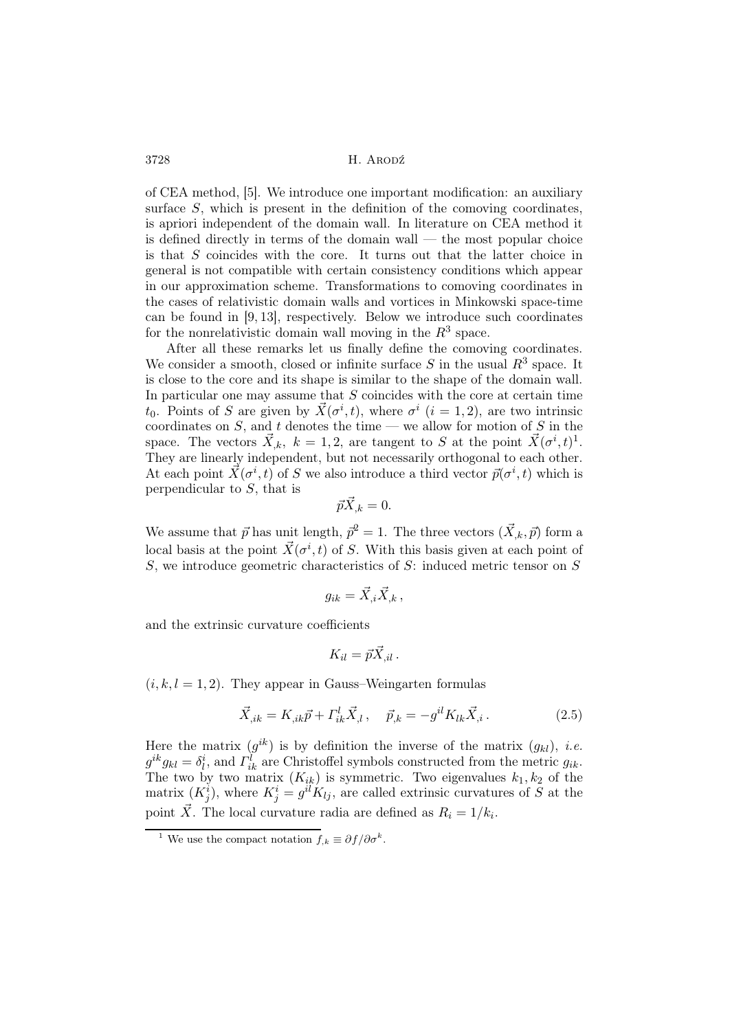of CEA method, [5]. We introduce one important modification: an auxiliary surface  $S$ , which is present in the definition of the comoving coordinates, is apriori independent of the domain wall. In literature on CEA method it is defined directly in terms of the domain wall  $-$  the most popular choice is that S coincides with the core. It turns out that the latter choice in general is not compatible with certain consistency conditions which appear in our approximation scheme. Transformations to comoving coordinates in the cases of relativistic domain walls and vortices in Minkowski space-time can be found in [9, 13], respectively. Below we introduce such coordinates for the nonrelativistic domain wall moving in the  $R^3$  space.

After all these remarks let us finally define the comoving coordinates. We consider a smooth, closed or infinite surface S in the usual  $R^3$  space. It is close to the core and its shape is similar to the shape of the domain wall. In particular one may assume that  $S$  coincides with the core at certain time  $t_0$ . Points of S are given by  $\vec{X}(\sigma^i, t)$ , where  $\sigma^i$   $(i = 1, 2)$ , are two intrinsic coordinates on  $S$ , and  $t$  denotes the time — we allow for motion of  $S$  in the space. The vectors  $\vec{X}_{,k}$ ,  $k = 1, 2$ , are tangent to S at the point  $\vec{X}(\sigma^i, t)^1$ . They are linearly independent, but not necessarily orthogonal to each other. At each point  $\vec{X}(\sigma^i, t)$  of S we also introduce a third vector  $\vec{p}(\sigma^i, t)$  which is perpendicular to S, that is

$$
\vec{p}\vec{X}_{,k} = 0.
$$

We assume that  $\vec{p}$  has unit length,  $\vec{p}^2 = 1$ . The three vectors  $(\vec{X}_{,k}, \vec{p})$  form a local basis at the point  $\vec{X}(\sigma^i, t)$  of S. With this basis given at each point of S, we introduce geometric characteristics of S: induced metric tensor on S

$$
g_{ik}=\vec{X}_{,i}\vec{X}_{,k}\,,
$$

and the extrinsic curvature coefficients

$$
K_{il}=\vec{p}\vec{X}_{,il}.
$$

 $(i, k, l = 1, 2)$ . They appear in Gauss–Weingarten formulas

$$
\vec{X}_{,ik} = K_{,ik}\vec{p} + \Gamma^l_{ik}\vec{X}_{,l}, \quad \vec{p}_{,k} = -g^{il}K_{lk}\vec{X}_{,i} \,. \tag{2.5}
$$

Here the matrix  $(g^{ik})$  is by definition the inverse of the matrix  $(g_{kl})$ , *i.e.*  $g^{ik}g_{kl} = \delta_l^i$ , and  $\Gamma_{ik}^l$  are Christoffel symbols constructed from the metric  $g_{ik}$ . The two by two matrix  $(K_{ik})$  is symmetric. Two eigenvalues  $k_1, k_2$  of the matrix  $(K_j^i)$ , where  $K_j^i = g^{il} K_{lj}$ , are called extrinsic curvatures of S at the point  $\vec{X}$ . The local curvature radia are defined as  $R_i = 1/k_i$ .

<sup>&</sup>lt;sup>1</sup> We use the compact notation  $f_{,k} \equiv \partial f / \partial \sigma^k$ .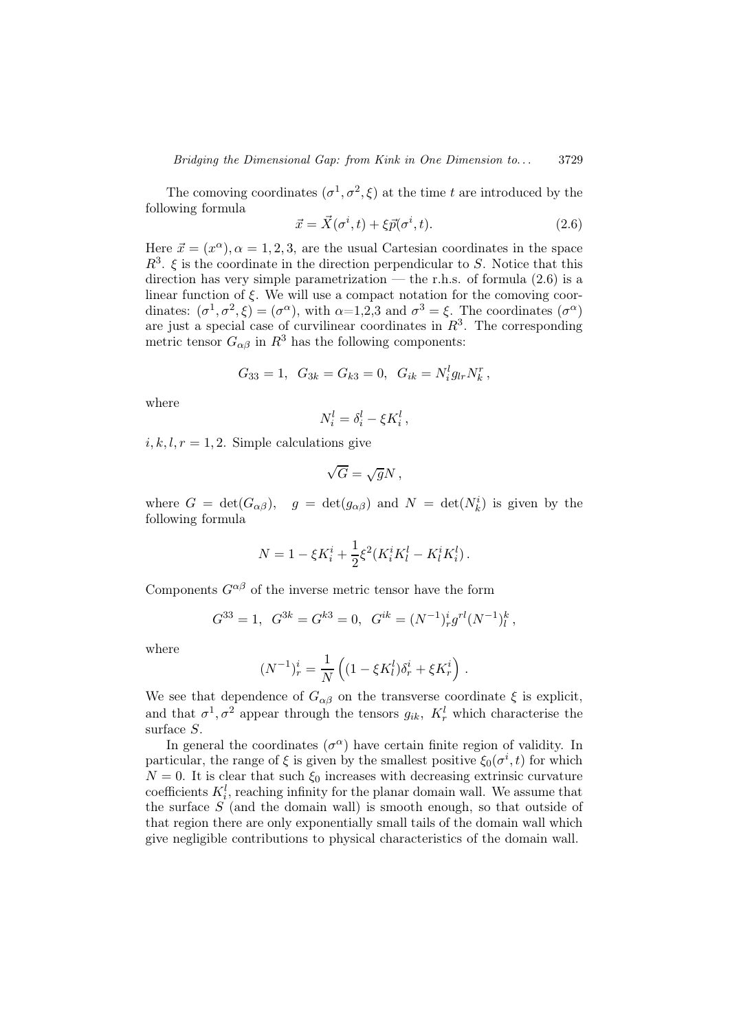The comoving coordinates  $(\sigma^1, \sigma^2, \xi)$  at the time t are introduced by the following formula

$$
\vec{x} = \vec{X}(\sigma^i, t) + \xi \vec{p}(\sigma^i, t). \tag{2.6}
$$

Here  $\vec{x} = (x^{\alpha}), \alpha = 1, 2, 3$ , are the usual Cartesian coordinates in the space  $R^3$ .  $\xi$  is the coordinate in the direction perpendicular to S. Notice that this direction has very simple parametrization — the r.h.s. of formula  $(2.6)$  is a linear function of  $\xi$ . We will use a compact notation for the comoving coordinates:  $(\sigma^1, \sigma^2, \xi) = (\sigma^{\alpha})$ , with  $\alpha = 1, 2, 3$  and  $\sigma^3 = \xi$ . The coordinates  $(\sigma^{\alpha})$ are just a special case of curvilinear coordinates in  $R^3$ . The corresponding metric tensor  $G_{\alpha\beta}$  in  $R^3$  has the following components:

$$
G_{33} = 1, G_{3k} = G_{k3} = 0, G_{ik} = N_i^l g_{lr} N_k^r,
$$

where

$$
N_i^l = \delta_i^l - \xi K_i^l \,,
$$

 $i, k, l, r = 1, 2$ . Simple calculations give

$$
\sqrt{G} = \sqrt{g}N\,,
$$

where  $G = det(G_{\alpha\beta})$ ,  $g = det(g_{\alpha\beta})$  and  $N = det(N_k^i)$  is given by the following formula

$$
N = 1 - \xi K_i^i + \frac{1}{2} \xi^2 (K_i^i K_l^l - K_l^i K_i^l).
$$

Components  $G^{\alpha\beta}$  of the inverse metric tensor have the form

$$
G^{33}=1,\;\; G^{3k}=G^{k3}=0,\;\; G^{ik}=(N^{-1})^i_r g^{rl} (N^{-1})^k_l\,,
$$

where

$$
(N^{-1})_r^i = \frac{1}{N} \left( (1 - \xi K_l^l) \delta_r^i + \xi K_r^i \right).
$$

We see that dependence of  $G_{\alpha\beta}$  on the transverse coordinate  $\xi$  is explicit, and that  $\sigma^1$ ,  $\sigma^2$  appear through the tensors  $g_{ik}$ ,  $K_r^l$  which characterise the surface S.

In general the coordinates  $(\sigma^{\alpha})$  have certain finite region of validity. In particular, the range of  $\xi$  is given by the smallest positive  $\xi_0(\sigma^i, t)$  for which  $N = 0$ . It is clear that such  $\xi_0$  increases with decreasing extrinsic curvature coefficients  $K_i^l$ , reaching infinity for the planar domain wall. We assume that the surface  $S$  (and the domain wall) is smooth enough, so that outside of that region there are only exponentially small tails of the domain wall which give negligible contributions to physical characteristics of the domain wall.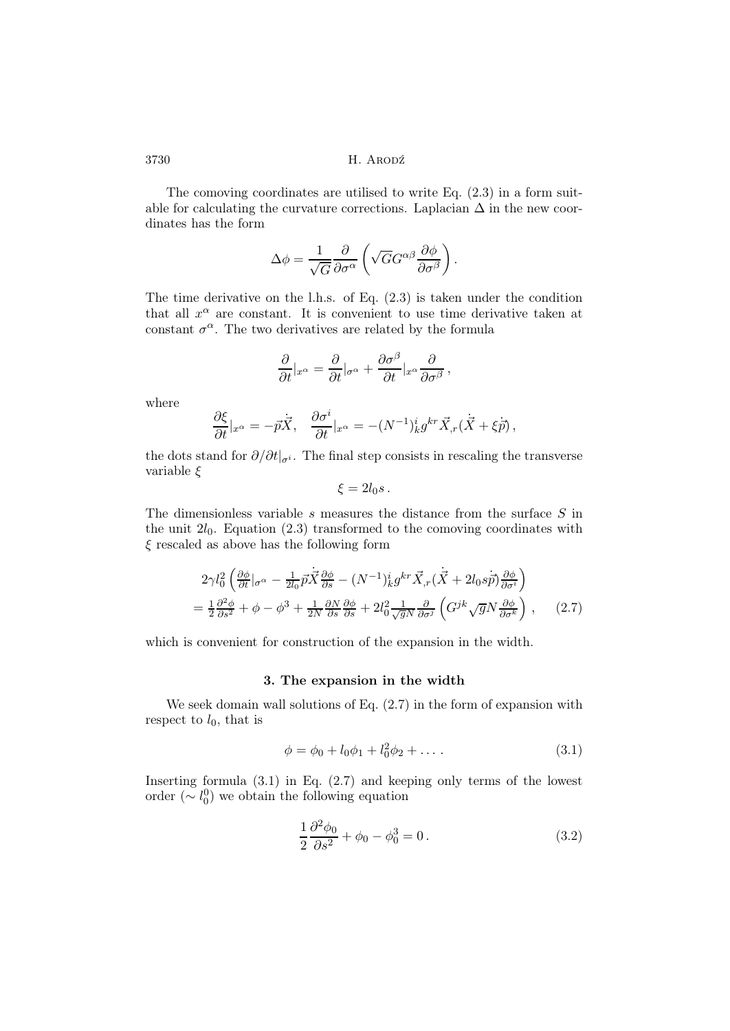The comoving coordinates are utilised to write Eq. (2.3) in a form suitable for calculating the curvature corrections. Laplacian  $\Delta$  in the new coordinates has the form

$$
\Delta \phi = \frac{1}{\sqrt{G}} \frac{\partial}{\partial \sigma^{\alpha}} \left( \sqrt{G} G^{\alpha \beta} \frac{\partial \phi}{\partial \sigma^{\beta}} \right).
$$

The time derivative on the l.h.s. of Eq. (2.3) is taken under the condition that all  $x^{\alpha}$  are constant. It is convenient to use time derivative taken at constant  $\sigma^{\alpha}$ . The two derivatives are related by the formula

$$
\frac{\partial}{\partial t}|_{x^{\alpha}} = \frac{\partial}{\partial t}|_{\sigma^{\alpha}} + \frac{\partial \sigma^{\beta}}{\partial t}|_{x^{\alpha}} \frac{\partial}{\partial \sigma^{\beta}},
$$

where

$$
\frac{\partial \xi}{\partial t}|_{x^{\alpha}} = -\vec{p}\dot{\vec{X}}, \quad \frac{\partial \sigma^i}{\partial t}|_{x^{\alpha}} = -(N^{-1})^i_k g^{kr} \vec{X}_{,r} (\dot{\vec{X}} + \xi \dot{\vec{p}}),
$$

the dots stand for  $\partial/\partial t|_{\sigma^i}$ . The final step consists in rescaling the transverse variable ξ

$$
\xi = 2l_0s.
$$

The dimensionless variable  $s$  measures the distance from the surface  $S$  in the unit  $2l_0$ . Equation (2.3) transformed to the comoving coordinates with  $\xi$  rescaled as above has the following form

$$
2\gamma l_0^2 \left( \frac{\partial \phi}{\partial t} |_{\sigma^{\alpha}} - \frac{1}{2l_0} \vec{p} \vec{X} \frac{\partial \phi}{\partial s} - (N^{-1})^i_k g^{kr} \vec{X}_{,r} (\dot{\vec{X}} + 2l_0 s \dot{\vec{p}}) \frac{\partial \phi}{\partial \sigma^i} \right)
$$
  
= 
$$
\frac{1}{2} \frac{\partial^2 \phi}{\partial s^2} + \phi - \phi^3 + \frac{1}{2N} \frac{\partial N}{\partial s} \frac{\partial \phi}{\partial s} + 2l_0^2 \frac{1}{\sqrt{g}N} \frac{\partial}{\partial \sigma^j} \left( G^{jk} \sqrt{g} N \frac{\partial \phi}{\partial \sigma^k} \right) , \qquad (2.7)
$$

which is convenient for construction of the expansion in the width.

### 3. The expansion in the width

We seek domain wall solutions of Eq. (2.7) in the form of expansion with respect to  $l_0$ , that is

$$
\phi = \phi_0 + l_0 \phi_1 + l_0^2 \phi_2 + \dots \tag{3.1}
$$

Inserting formula  $(3.1)$  in Eq.  $(2.7)$  and keeping only terms of the lowest order  $({\sim l_0^0})$  we obtain the following equation

$$
\frac{1}{2}\frac{\partial^2 \phi_0}{\partial s^2} + \phi_0 - \phi_0^3 = 0.
$$
 (3.2)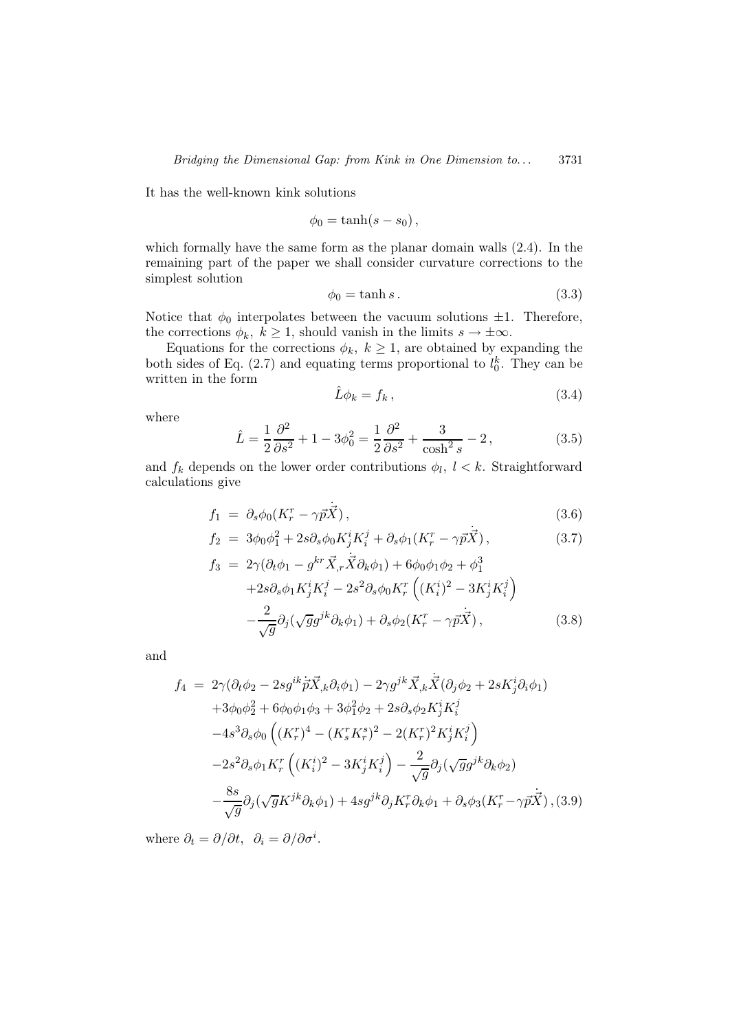It has the well-known kink solutions

$$
\phi_0=\tanh(s-s_0)\,,
$$

which formally have the same form as the planar domain walls (2.4). In the remaining part of the paper we shall consider curvature corrections to the simplest solution

$$
\phi_0 = \tanh s. \tag{3.3}
$$

Notice that  $\phi_0$  interpolates between the vacuum solutions  $\pm 1$ . Therefore, the corrections  $\phi_k$ ,  $k \geq 1$ , should vanish in the limits  $s \to \pm \infty$ .

Equations for the corrections  $\phi_k$ ,  $k \geq 1$ , are obtained by expanding the both sides of Eq. (2.7) and equating terms proportional to  $l_0^k$ . They can be written in the form

$$
\hat{L}\phi_k = f_k, \qquad (3.4)
$$

where

$$
\hat{L} = \frac{1}{2} \frac{\partial^2}{\partial s^2} + 1 - 3\phi_0^2 = \frac{1}{2} \frac{\partial^2}{\partial s^2} + \frac{3}{\cosh^2 s} - 2, \tag{3.5}
$$

and  $f_k$  depends on the lower order contributions  $\phi_l, l \lt k$ . Straightforward calculations give

$$
f_1 = \partial_s \phi_0 (K_r^r - \gamma \vec{p} \vec{X}), \qquad (3.6)
$$

$$
f_2 = 3\phi_0 \phi_1^2 + 2s\partial_s \phi_0 K_j^i K_i^j + \partial_s \phi_1 (K_r^r - \gamma \vec{p} \vec{X}), \qquad (3.7)
$$

$$
f_3 = 2\gamma(\partial_t \phi_1 - g^{kr}\vec{X}_{,r}\dot{\vec{X}}\partial_k \phi_1) + 6\phi_0 \phi_1 \phi_2 + \phi_1^3 + 2s\partial_s \phi_1 K_j^i K_i^j - 2s^2 \partial_s \phi_0 K_r^r ((K_i^i)^2 - 3K_j^i K_i^j) -\frac{2}{\sqrt{g}} \partial_j(\sqrt{g}g^{jk}\partial_k \phi_1) + \partial_s \phi_2 (K_r^r - \gamma \vec{p}\vec{X}),
$$
(3.8)

and

$$
f_{4} = 2\gamma(\partial_{t}\phi_{2} - 2sg^{ik}\vec{p}\vec{X}_{,k}\partial_{i}\phi_{1}) - 2\gamma g^{jk}\vec{X}_{,k}\dot{\vec{X}}(\partial_{j}\phi_{2} + 2sK_{j}^{i}\partial_{i}\phi_{1}) + 3\phi_{0}\phi_{2}^{2} + 6\phi_{0}\phi_{1}\phi_{3} + 3\phi_{1}^{2}\phi_{2} + 2s\partial_{s}\phi_{2}K_{j}^{i}K_{i}^{j} - 4s^{3}\partial_{s}\phi_{0}\left((K_{r}^{r})^{4} - (K_{s}^{r}K_{r}^{s})^{2} - 2(K_{r}^{r})^{2}K_{j}^{i}K_{i}^{j}\right) - 2s^{2}\partial_{s}\phi_{1}K_{r}^{r}\left((K_{i}^{i})^{2} - 3K_{j}^{i}K_{i}^{j}\right) - \frac{2}{\sqrt{g}}\partial_{j}(\sqrt{g}g^{jk}\partial_{k}\phi_{2}) - \frac{8s}{\sqrt{g}}\partial_{j}(\sqrt{g}K^{jk}\partial_{k}\phi_{1}) + 4sg^{jk}\partial_{j}K_{r}^{r}\partial_{k}\phi_{1} + \partial_{s}\phi_{3}(K_{r}^{r} - \gamma\vec{p}\vec{X}), (3.9)
$$

where  $\partial_t = \partial/\partial t$ ,  $\partial_i = \partial/\partial \sigma^i$ .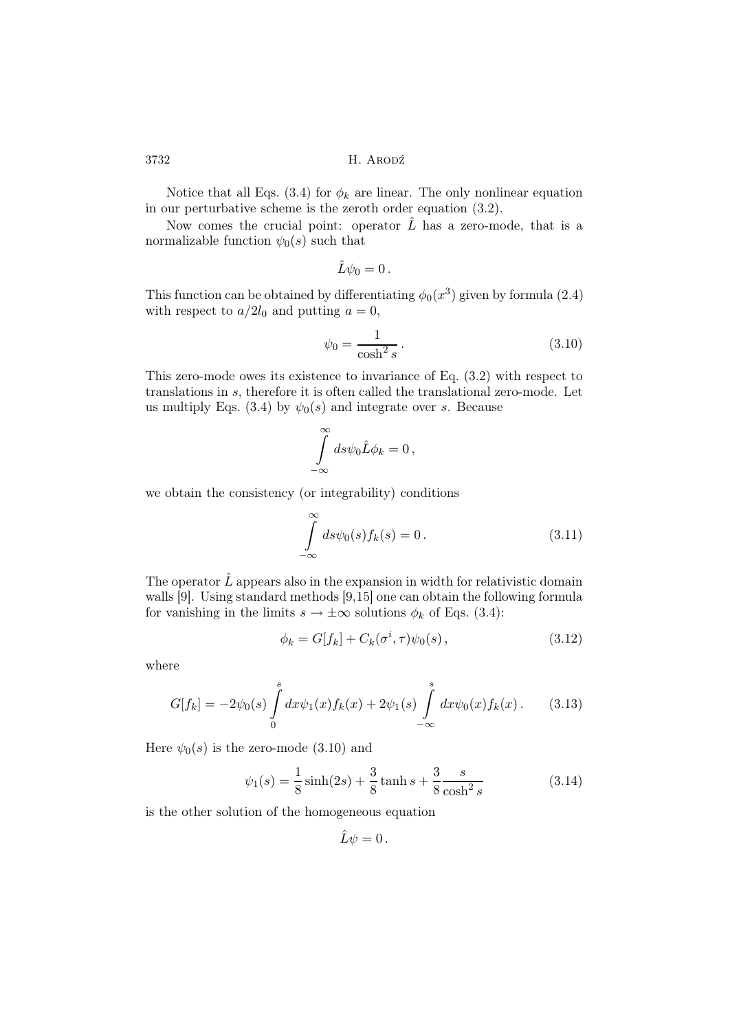Notice that all Eqs. (3.4) for  $\phi_k$  are linear. The only nonlinear equation in our perturbative scheme is the zeroth order equation (3.2).

Now comes the crucial point: operator  $\hat{L}$  has a zero-mode, that is a normalizable function  $\psi_0(s)$  such that

$$
\hat{L}\psi_0=0\,.
$$

This function can be obtained by differentiating  $\phi_0(x^3)$  given by formula (2.4) with respect to  $a/2l_0$  and putting  $a = 0$ ,

$$
\psi_0 = \frac{1}{\cosh^2 s}.\tag{3.10}
$$

This zero-mode owes its existence to invariance of Eq. (3.2) with respect to translations in s, therefore it is often called the translational zero-mode. Let us multiply Eqs. (3.4) by  $\psi_0(s)$  and integrate over s. Because

$$
\int\limits_{-\infty}^{\infty} ds \psi_0 \hat{L} \phi_k = 0 \,,
$$

we obtain the consistency (or integrability) conditions

$$
\int_{-\infty}^{\infty} ds \psi_0(s) f_k(s) = 0.
$$
\n(3.11)

The operator  $\hat{L}$  appears also in the expansion in width for relativistic domain walls [9]. Using standard methods [9,15] one can obtain the following formula for vanishing in the limits  $s \to \pm \infty$  solutions  $\phi_k$  of Eqs. (3.4):

$$
\phi_k = G[f_k] + C_k(\sigma^i, \tau)\psi_0(s), \qquad (3.12)
$$

where

$$
G[f_k] = -2\psi_0(s) \int_0^s dx \psi_1(x) f_k(x) + 2\psi_1(s) \int_{-\infty}^s dx \psi_0(x) f_k(x).
$$
 (3.13)

Here  $\psi_0(s)$  is the zero-mode (3.10) and

$$
\psi_1(s) = \frac{1}{8}\sinh(2s) + \frac{3}{8}\tanh s + \frac{3}{8}\frac{s}{\cosh^2 s}
$$
(3.14)

is the other solution of the homogeneous equation

$$
\hat{L}\psi=0.
$$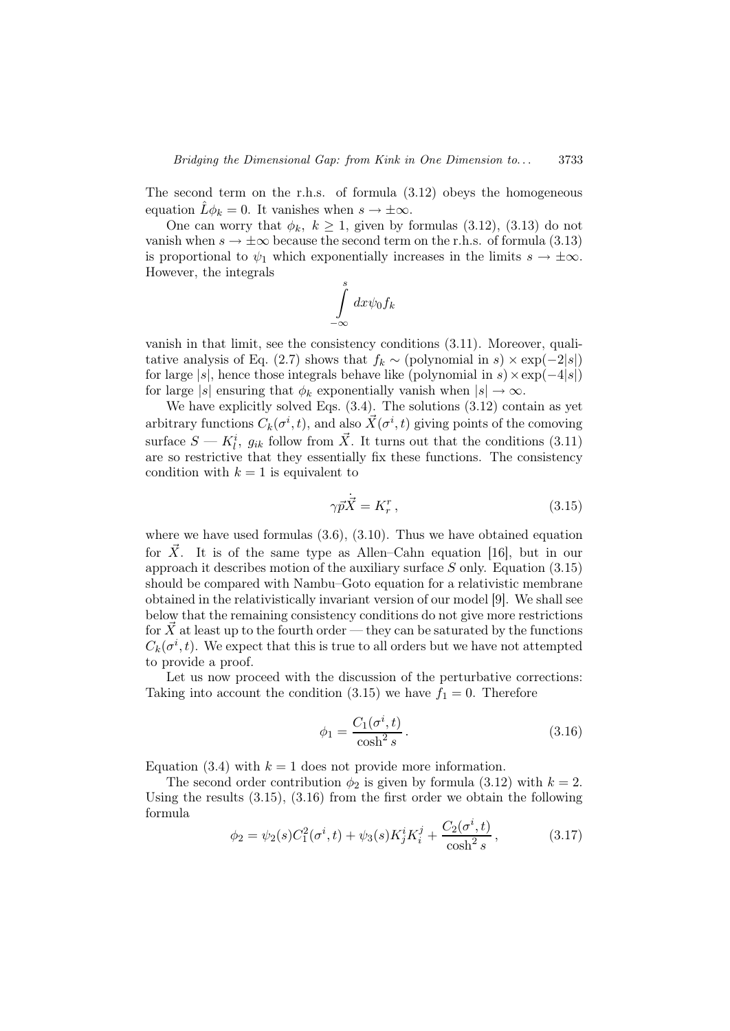The second term on the r.h.s. of formula (3.12) obeys the homogeneous equation  $\hat{L}\phi_k = 0$ . It vanishes when  $s \to \pm \infty$ .

One can worry that  $\phi_k$ ,  $k \geq 1$ , given by formulas (3.12), (3.13) do not vanish when  $s \to \pm \infty$  because the second term on the r.h.s. of formula (3.13) is proportional to  $\psi_1$  which exponentially increases in the limits  $s \to \pm \infty$ . However, the integrals

$$
\int\limits_{-\infty}^{s}dx\psi_{0}f_{k}
$$

vanish in that limit, see the consistency conditions (3.11). Moreover, qualitative analysis of Eq. (2.7) shows that  $f_k \sim$  (polynomial in s)  $\times \exp(-2|s|)$ for large  $|s|$ , hence those integrals behave like (polynomial in s)  $\times$  exp( $-4|s|$ ) for large |s| ensuring that  $\phi_k$  exponentially vanish when  $|s| \to \infty$ .

We have explicitly solved Eqs.  $(3.4)$ . The solutions  $(3.12)$  contain as yet arbitrary functions  $C_k(\sigma^i, t)$ , and also  $\vec{X}(\sigma^i, t)$  giving points of the comoving surface  $S - K_l^i$ ,  $g_{ik}$  follow from  $\vec{X}$ . It turns out that the conditions (3.11) are so restrictive that they essentially fix these functions. The consistency condition with  $k = 1$  is equivalent to

$$
\gamma \vec{p} \cdot \vec{X} = K_r^r \,, \tag{3.15}
$$

where we have used formulas  $(3.6), (3.10)$ . Thus we have obtained equation for X. It is of the same type as Allen–Cahn equation [16], but in our approach it describes motion of the auxiliary surface  $S$  only. Equation (3.15) should be compared with Nambu–Goto equation for a relativistic membrane obtained in the relativistically invariant version of our model [9]. We shall see below that the remaining consistency conditions do not give more restrictions for  $\overline{X}$  at least up to the fourth order — they can be saturated by the functions  $C_k(\sigma^i, t)$ . We expect that this is true to all orders but we have not attempted to provide a proof.

Let us now proceed with the discussion of the perturbative corrections: Taking into account the condition (3.15) we have  $f_1 = 0$ . Therefore

$$
\phi_1 = \frac{C_1(\sigma^i, t)}{\cosh^2 s}.
$$
\n(3.16)

Equation (3.4) with  $k = 1$  does not provide more information.

The second order contribution  $\phi_2$  is given by formula (3.12) with  $k = 2$ . Using the results (3.15), (3.16) from the first order we obtain the following formula

$$
\phi_2 = \psi_2(s)C_1^2(\sigma^i, t) + \psi_3(s)K_j^iK_i^j + \frac{C_2(\sigma^i, t)}{\cosh^2 s},\tag{3.17}
$$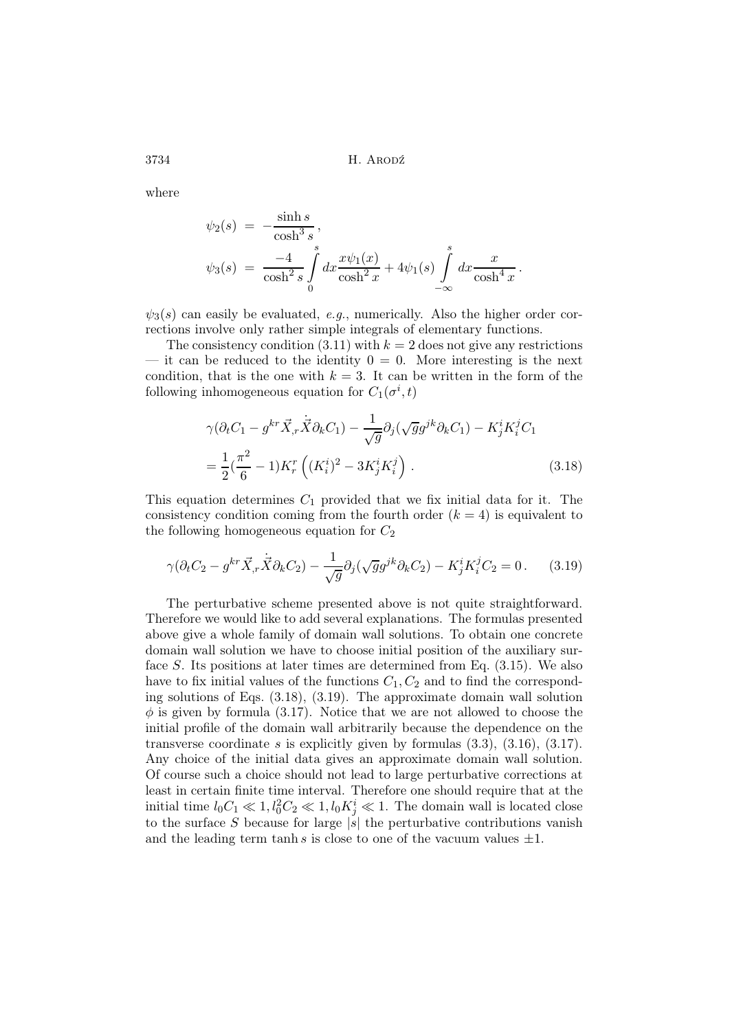where

$$
\psi_2(s) = -\frac{\sinh s}{\cosh^3 s},
$$
  

$$
\psi_3(s) = -\frac{4}{\cosh^2 s} \int_0^s dx \frac{x\psi_1(x)}{\cosh^2 x} + 4\psi_1(s) \int_{-\infty}^s dx \frac{x}{\cosh^4 x}.
$$

 $\psi_3(s)$  can easily be evaluated, e.g., numerically. Also the higher order corrections involve only rather simple integrals of elementary functions.

The consistency condition (3.11) with  $k = 2$  does not give any restrictions — it can be reduced to the identity  $0 = 0$ . More interesting is the next condition, that is the one with  $k = 3$ . It can be written in the form of the following inhomogeneous equation for  $C_1(\sigma^i, t)$ 

$$
\gamma(\partial_t C_1 - g^{kr} \vec{X}_{,r} \dot{\vec{X}} \partial_k C_1) - \frac{1}{\sqrt{g}} \partial_j (\sqrt{g} g^{jk} \partial_k C_1) - K^i_j K^j_i C_1
$$
  
= 
$$
\frac{1}{2} (\frac{\pi^2}{6} - 1) K^r_r \left( (K^i_i)^2 - 3K^i_j K^j_i \right).
$$
 (3.18)

This equation determines  $C_1$  provided that we fix initial data for it. The consistency condition coming from the fourth order  $(k = 4)$  is equivalent to the following homogeneous equation for  $C_2$ 

$$
\gamma(\partial_t C_2 - g^{kr}\vec{X}_{,r}\dot{\vec{X}}\partial_k C_2) - \frac{1}{\sqrt{g}}\partial_j(\sqrt{g}g^{jk}\partial_k C_2) - K^i_j K^j_i C_2 = 0. \tag{3.19}
$$

The perturbative scheme presented above is not quite straightforward. Therefore we would like to add several explanations. The formulas presented above give a whole family of domain wall solutions. To obtain one concrete domain wall solution we have to choose initial position of the auxiliary surface S. Its positions at later times are determined from Eq.  $(3.15)$ . We also have to fix initial values of the functions  $C_1, C_2$  and to find the corresponding solutions of Eqs. (3.18), (3.19). The approximate domain wall solution  $\phi$  is given by formula (3.17). Notice that we are not allowed to choose the initial profile of the domain wall arbitrarily because the dependence on the transverse coordinate s is explicitly given by formulas  $(3.3)$ ,  $(3.16)$ ,  $(3.17)$ . Any choice of the initial data gives an approximate domain wall solution. Of course such a choice should not lead to large perturbative corrections at least in certain finite time interval. Therefore one should require that at the initial time  $l_0C_1 \ll 1$ ,  $l_0^2C_2 \ll 1$ ,  $l_0K_j^i \ll 1$ . The domain wall is located close to the surface S because for large  $|s|$  the perturbative contributions vanish and the leading term tanh s is close to one of the vacuum values  $\pm 1$ .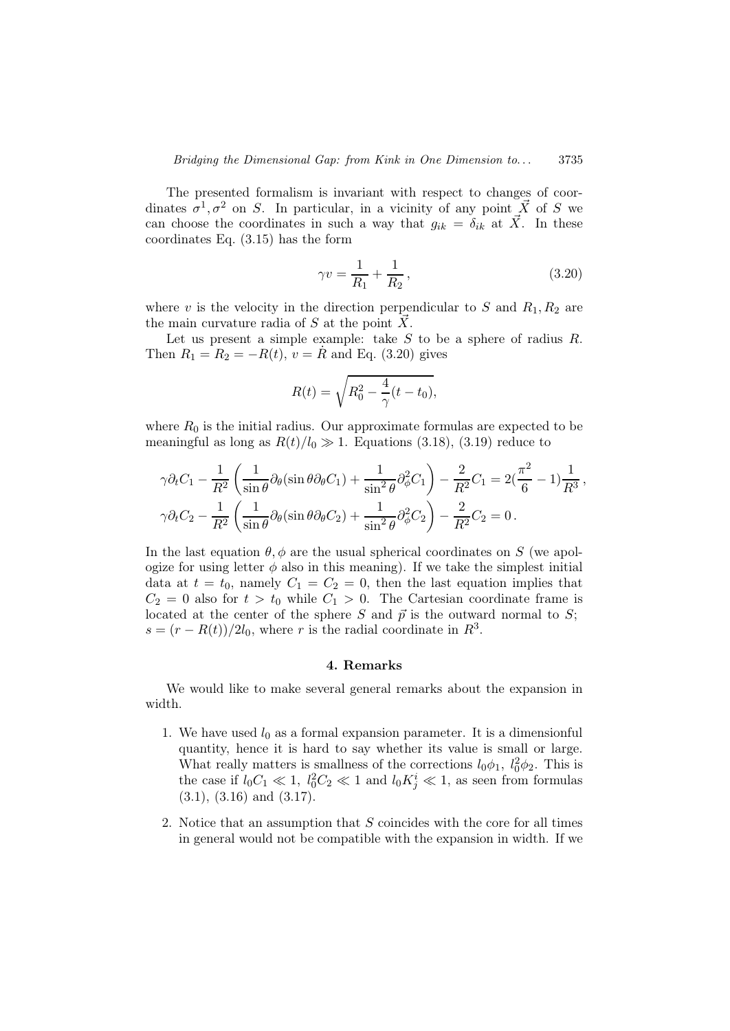The presented formalism is invariant with respect to changes of coordinates  $\sigma^1, \sigma^2$  on S. In particular, in a vicinity of any point  $\vec{X}$  of S we can choose the coordinates in such a way that  $g_{ik} = \delta_{ik}$  at  $\vec{X}$ . In these coordinates Eq. (3.15) has the form

$$
\gamma v = \frac{1}{R_1} + \frac{1}{R_2},\tag{3.20}
$$

where v is the velocity in the direction perpendicular to S and  $R_1, R_2$  are the main curvature radia of  $S$  at the point  $\overline{X}$ .

Let us present a simple example: take  $S$  to be a sphere of radius  $R$ . Then  $R_1 = R_2 = -R(t), v = R$  and Eq. (3.20) gives

$$
R(t) = \sqrt{R_0^2 - \frac{4}{\gamma}(t - t_0)},
$$

where  $R_0$  is the initial radius. Our approximate formulas are expected to be meaningful as long as  $R(t)/l_0 \gg 1$ . Equations (3.18), (3.19) reduce to

$$
\gamma \partial_t C_1 - \frac{1}{R^2} \left( \frac{1}{\sin \theta} \partial_\theta (\sin \theta \partial_\theta C_1) + \frac{1}{\sin^2 \theta} \partial_\phi^2 C_1 \right) - \frac{2}{R^2} C_1 = 2(\frac{\pi^2}{6} - 1) \frac{1}{R^3},
$$
  

$$
\gamma \partial_t C_2 - \frac{1}{R^2} \left( \frac{1}{\sin \theta} \partial_\theta (\sin \theta \partial_\theta C_2) + \frac{1}{\sin^2 \theta} \partial_\phi^2 C_2 \right) - \frac{2}{R^2} C_2 = 0.
$$

In the last equation  $\theta$ ,  $\phi$  are the usual spherical coordinates on S (we apologize for using letter  $\phi$  also in this meaning). If we take the simplest initial data at  $t = t_0$ , namely  $C_1 = C_2 = 0$ , then the last equation implies that  $C_2 = 0$  also for  $t > t_0$  while  $C_1 > 0$ . The Cartesian coordinate frame is located at the center of the sphere S and  $\vec{p}$  is the outward normal to S;  $s = (r - R(t))/2l_0$ , where r is the radial coordinate in  $R^3$ .

#### 4. Remarks

We would like to make several general remarks about the expansion in width.

- 1. We have used  $l_0$  as a formal expansion parameter. It is a dimensionful quantity, hence it is hard to say whether its value is small or large. What really matters is smallness of the corrections  $l_0\phi_1$ ,  $l_0^2\phi_2$ . This is the case if  $l_0C_1 \ll 1$ ,  $l_0^2C_2 \ll 1$  and  $l_0K_j^i \ll 1$ , as seen from formulas  $(3.1), (3.16)$  and  $(3.17).$
- 2. Notice that an assumption that S coincides with the core for all times in general would not be compatible with the expansion in width. If we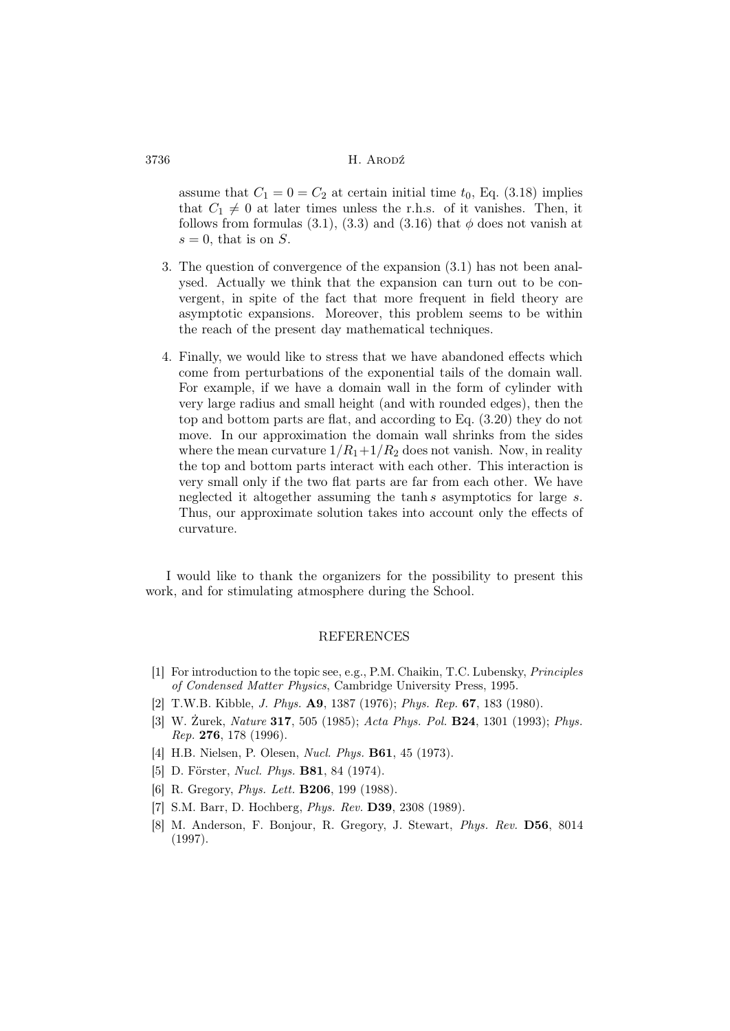assume that  $C_1 = 0 = C_2$  at certain initial time  $t_0$ , Eq. (3.18) implies that  $C_1 \neq 0$  at later times unless the r.h.s. of it vanishes. Then, it follows from formulas (3.1), (3.3) and (3.16) that  $\phi$  does not vanish at  $s = 0$ , that is on S.

- 3. The question of convergence of the expansion (3.1) has not been analysed. Actually we think that the expansion can turn out to be convergent, in spite of the fact that more frequent in field theory are asymptotic expansions. Moreover, this problem seems to be within the reach of the present day mathematical techniques.
- 4. Finally, we would like to stress that we have abandoned effects which come from perturbations of the exponential tails of the domain wall. For example, if we have a domain wall in the form of cylinder with very large radius and small height (and with rounded edges), then the top and bottom parts are flat, and according to Eq. (3.20) they do not move. In our approximation the domain wall shrinks from the sides where the mean curvature  $1/R_1+1/R_2$  does not vanish. Now, in reality the top and bottom parts interact with each other. This interaction is very small only if the two flat parts are far from each other. We have neglected it altogether assuming the tanh s asymptotics for large s. Thus, our approximate solution takes into account only the effects of curvature.

I would like to thank the organizers for the possibility to present this work, and for stimulating atmosphere during the School.

### REFERENCES

- [1] For introduction to the topic see, e.g., P.M. Chaikin, T.C. Lubensky, Principles of Condensed Matter Physics, Cambridge University Press, 1995.
- [2] T.W.B. Kibble, *J. Phys.* **A9**, 1387 (1976); *Phys. Rep.* **67**, 183 (1980).
- [3] W. Żurek, Nature 317, 505 (1985); Acta Phys. Pol. B24, 1301 (1993); Phys. Rep. 276, 178 (1996).
- [4] H.B. Nielsen, P. Olesen, Nucl. Phys. B61, 45 (1973).
- [5] D. Förster, Nucl. Phys. B81, 84 (1974).
- [6] R. Gregory, *Phys. Lett.* **B206**, 199 (1988).
- [7] S.M. Barr, D. Hochberg, Phys. Rev. D39, 2308 (1989).
- [8] M. Anderson, F. Bonjour, R. Gregory, J. Stewart, Phys. Rev. D56, 8014 (1997).